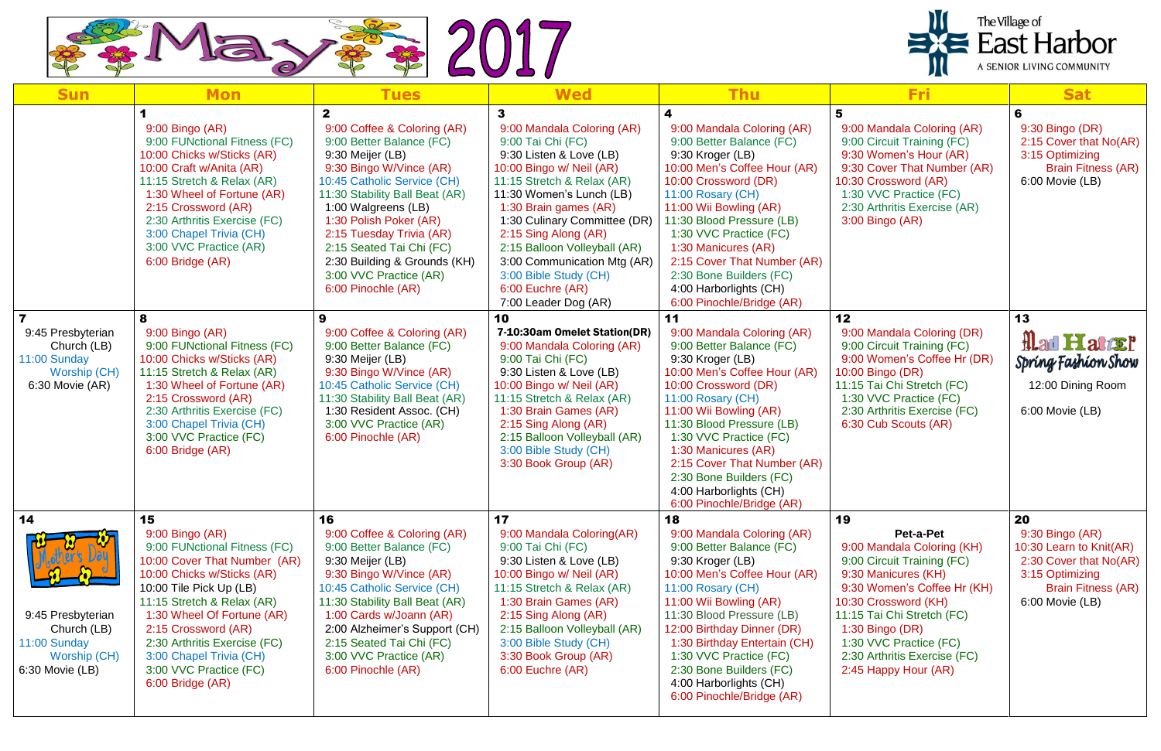

| <b>Sun</b>                                                                                 | <b>Mon</b>                                                                                                                                                                                                                                                                                                                                 | <b>Tues</b>                                                                                                                                                                                                                                                                                                                                                                      | <b>Wed</b>                                                                                                                                                                                                                                                                                                                                                                                 | <b>Thu</b>                                                                                                                                                                                                                                                                                                                                                                             | Fri                                                                                                                                                                                                                                                                                          | <b>Sat</b>                                                                                                                                      |
|--------------------------------------------------------------------------------------------|--------------------------------------------------------------------------------------------------------------------------------------------------------------------------------------------------------------------------------------------------------------------------------------------------------------------------------------------|----------------------------------------------------------------------------------------------------------------------------------------------------------------------------------------------------------------------------------------------------------------------------------------------------------------------------------------------------------------------------------|--------------------------------------------------------------------------------------------------------------------------------------------------------------------------------------------------------------------------------------------------------------------------------------------------------------------------------------------------------------------------------------------|----------------------------------------------------------------------------------------------------------------------------------------------------------------------------------------------------------------------------------------------------------------------------------------------------------------------------------------------------------------------------------------|----------------------------------------------------------------------------------------------------------------------------------------------------------------------------------------------------------------------------------------------------------------------------------------------|-------------------------------------------------------------------------------------------------------------------------------------------------|
|                                                                                            | 9:00 Bingo (AR)<br>9:00 FUNctional Fitness (FC)<br>10:00 Chicks w/Sticks (AR)<br>10:00 Craft w/Anita (AR)<br>11:15 Stretch & Relax (AR)<br>1:30 Wheel of Fortune (AR)<br>2:15 Crossword (AR)<br>2:30 Arthritis Exercise (FC)<br>3:00 Chapel Trivia (CH)<br>3:00 VVC Practice (AR)<br>6:00 Bridge (AR)                                      | $\mathbf{2}$<br>9:00 Coffee & Coloring (AR)<br>9:00 Better Balance (FC)<br>9:30 Meijer (LB)<br>9:30 Bingo W/Vince (AR)<br>10:45 Catholic Service (CH)<br>11:30 Stability Ball Beat (AR)<br>1:00 Walgreens (LB)<br>1:30 Polish Poker (AR)<br>2:15 Tuesday Trivia (AR)<br>2:15 Seated Tai Chi (FC)<br>2:30 Building & Grounds (KH)<br>3:00 VVC Practice (AR)<br>6:00 Pinochle (AR) | 3<br>9:00 Mandala Coloring (AR)<br>9:00 Tai Chi (FC)<br>9:30 Listen & Love (LB)<br>10:00 Bingo w/ Neil (AR)<br>11:15 Stretch & Relax (AR)<br>11:30 Women's Lunch (LB)<br>1:30 Brain games (AR)<br>1:30 Culinary Committee (DR)<br>2:15 Sing Along (AR)<br>2:15 Balloon Volleyball (AR)<br>3:00 Communication Mtg (AR)<br>3:00 Bible Study (CH)<br>6:00 Euchre (AR)<br>7:00 Leader Dog (AR) | 9:00 Mandala Coloring (AR)<br>9:00 Better Balance (FC)<br>9:30 Kroger (LB)<br>10:00 Men's Coffee Hour (AR)<br>10:00 Crossword (DR)<br>11:00 Rosary (CH)<br>11:00 Wii Bowling (AR)<br>11:30 Blood Pressure (LB)<br>1:30 VVC Practice (FC)<br>1:30 Manicures (AR)<br>2:15 Cover That Number (AR)<br>2:30 Bone Builders (FC)<br>4:00 Harborlights (CH)<br>6:00 Pinochle/Bridge (AR)       | 9:00 Mandala Coloring (AR)<br>9:00 Circuit Training (FC)<br>9:30 Women's Hour (AR)<br>9:30 Cover That Number (AR)<br>10:30 Crossword (AR)<br>1:30 VVC Practice (FC)<br>2:30 Arthritis Exercise (AR)<br>3:00 Bingo (AR)                                                                       | 6<br>9:30 Bingo (DR)<br>2:15 Cover that No(AR)<br>3:15 Optimizing<br><b>Brain Fitness (AR)</b><br>6:00 Movie (LB)                               |
| 9:45 Presbyterian<br>Church (LB)<br>11:00 Sunday<br><b>Worship (CH)</b><br>6:30 Movie (AR) | 8<br>9:00 Bingo (AR)<br>9:00 FUNctional Fitness (FC)<br>10:00 Chicks w/Sticks (AR)<br>11:15 Stretch & Relax (AR)<br>1:30 Wheel of Fortune (AR)<br>2:15 Crossword (AR)<br>2:30 Arthritis Exercise (FC)<br>3:00 Chapel Trivia (CH)<br>3:00 VVC Practice (FC)<br>6:00 Bridge (AR)                                                             | 9<br>9:00 Coffee & Coloring (AR)<br>9:00 Better Balance (FC)<br>9:30 Meijer (LB)<br>9:30 Bingo W/Vince (AR)<br>10:45 Catholic Service (CH)<br>11:30 Stability Ball Beat (AR)<br>1:30 Resident Assoc. (CH)<br>3:00 VVC Practice (AR)<br>6:00 Pinochle (AR)                                                                                                                        | 10<br>7-10:30am Omelet Station(DR)<br>9:00 Mandala Coloring (AR)<br>9:00 Tai Chi (FC)<br>9:30 Listen & Love (LB)<br>10:00 Bingo w/ Neil (AR)<br>11:15 Stretch & Relax (AR)<br>1:30 Brain Games (AR)<br>2:15 Sing Along (AR)<br>2:15 Balloon Volleyball (AR)<br>3:00 Bible Study (CH)<br>3:30 Book Group (AR)                                                                               | 11<br>9:00 Mandala Coloring (AR)<br>9:00 Better Balance (FC)<br>9:30 Kroger (LB)<br>10:00 Men's Coffee Hour (AR)<br>10:00 Crossword (DR)<br>11:00 Rosary (CH)<br>11:00 Wii Bowling (AR)<br>11:30 Blood Pressure (LB)<br>1:30 VVC Practice (FC)<br>1:30 Manicures (AR)<br>2:15 Cover That Number (AR)<br>2:30 Bone Builders (FC)<br>4:00 Harborlights (CH)<br>6:00 Pinochle/Bridge (AR) | 12<br>9:00 Mandala Coloring (DR)<br>9:00 Circuit Training (FC)<br>9:00 Women's Coffee Hr (DR)<br>10:00 Bingo (DR)<br>11:15 Tai Chi Stretch (FC)<br>1:30 VVC Practice (FC)<br>2:30 Arthritis Exercise (FC)<br>6:30 Cub Scouts (AR)                                                            | 13<br>Had Hatter<br>Spring Fashion Show<br>12:00 Dining Room<br>6:00 Movie (LB)                                                                 |
| 14<br>9:45 Presbyterian<br>Church (LB)<br>11:00 Sunday<br>Worship (CH)<br>6:30 Movie (LB)  | 15<br>9:00 Bingo (AR)<br>9:00 FUNctional Fitness (FC)<br>10:00 Cover That Number (AR)<br>10:00 Chicks w/Sticks (AR)<br>10:00 Tile Pick Up (LB)<br>11:15 Stretch & Relax (AR)<br>1:30 Wheel Of Fortune (AR)<br>2:15 Crossword (AR)<br>2:30 Arthritis Exercise (FC)<br>3:00 Chapel Trivia (CH)<br>3:00 VVC Practice (FC)<br>6:00 Bridge (AR) | 16<br>9:00 Coffee & Coloring (AR)<br>9:00 Better Balance (FC)<br>9:30 Meijer (LB)<br>9:30 Bingo W/Vince (AR)<br>10:45 Catholic Service (CH)<br>11:30 Stability Ball Beat (AR)<br>1:00 Cards w/Joann (AR)<br>2:00 Alzheimer's Support (CH)<br>2:15 Seated Tai Chi (FC)<br>3:00 VVC Practice (AR)<br>6:00 Pinochle (AR)                                                            | 17<br>9:00 Mandala Coloring (AR)<br>9:00 Tai Chi (FC)<br>9:30 Listen & Love (LB)<br>10:00 Bingo w/ Neil (AR)<br>11:15 Stretch & Relax (AR)<br>1:30 Brain Games (AR)<br>2:15 Sing Along (AR)<br>2:15 Balloon Volleyball (AR)<br>3:00 Bible Study (CH)<br>3:30 Book Group (AR)<br>6:00 Euchre (AR)                                                                                           | 18<br>9:00 Mandala Coloring (AR)<br>9:00 Better Balance (FC)<br>9:30 Kroger (LB)<br>10:00 Men's Coffee Hour (AR)<br>11:00 Rosary (CH)<br>11:00 Wii Bowling (AR)<br>11:30 Blood Pressure (LB)<br>12:00 Birthday Dinner (DR)<br>1:30 Birthday Entertain (CH)<br>1:30 VVC Practice (FC)<br>2:30 Bone Builders (FC)<br>4:00 Harborlights (CH)<br>6:00 Pinochle/Bridge (AR)                 | 19<br>Pet-a-Pet<br>9:00 Mandala Coloring (KH)<br>9:00 Circuit Training (FC)<br>9:30 Manicures (KH)<br>9:30 Women's Coffee Hr (KH)<br>10:30 Crossword (KH)<br>11:15 Tai Chi Stretch (FC)<br>1:30 Bingo (DR)<br>1:30 VVC Practice (FC)<br>2:30 Arthritis Exercise (FC)<br>2:45 Happy Hour (AR) | 20<br>9:30 Bingo (AR)<br>10:30 Learn to Knit(AR)<br>2:30 Cover that No(AR)  <br>3:15 Optimizing<br><b>Brain Fitness (AR)</b><br>6:00 Movie (LB) |

## The Village of<br>East Harbor 2 A SENIOR LIVING COMMUNITY